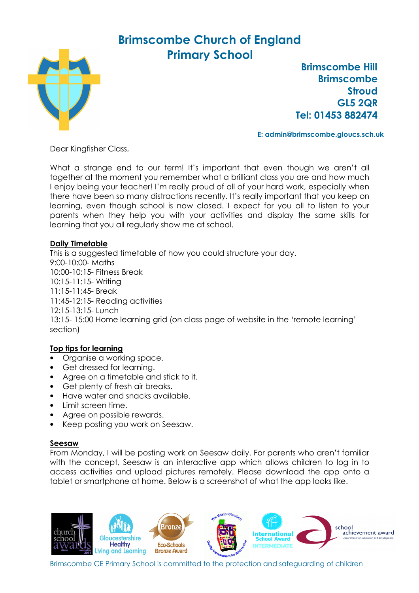## Brimscombe Church of England Primary School



 Brimscombe Hill Brimscombe **Stroud** GL5 2QR Tel: 01453 882474

E: admin@brimscombe.gloucs.sch.uk

Dear Kingfisher Class,

What a strange end to our term! It's important that even though we aren't all together at the moment you remember what a brilliant class you are and how much I enjoy being your teacher! I'm really proud of all of your hard work, especially when there have been so many distractions recently. It's really important that you keep on learning, even though school is now closed. I expect for you all to listen to your parents when they help you with your activities and display the same skills for learning that you all regularly show me at school.

## Daily Timetable

This is a suggested timetable of how you could structure your day. 9:00-10:00- Maths 10:00-10:15- Fitness Break 10:15-11:15- Writing 11:15-11:45- Break 11:45-12:15- Reading activities 12:15-13:15- Lunch 13:15- 15:00 Home learning grid (on class page of website in the 'remote learning' section)

## Top tips for learning

- Organise a working space.
- Get dressed for learning.
- Agree on a timetable and stick to it.
- Get plenty of fresh air breaks.
- Have water and snacks available.
- Limit screen time.
- Agree on possible rewards.
- Keep posting you work on Seesaw.

## Seesaw

From Monday, I will be posting work on Seesaw daily. For parents who aren't familiar with the concept, Seesaw is an interactive app which allows children to log in to access activities and upload pictures remotely. Please download the app onto a tablet or smartphone at home. Below is a screenshot of what the app looks like.



Brimscombe CE Primary School is committed to the protection and safeguarding of children